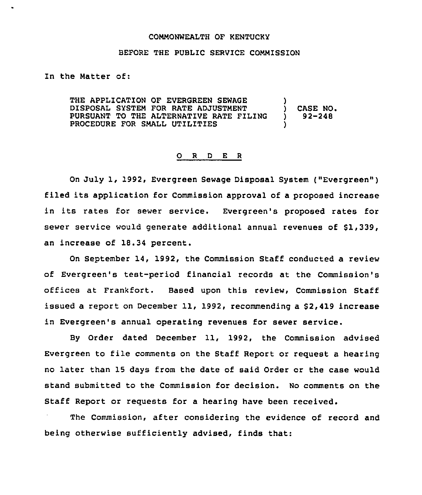## COMMONWEALTH OF KENTUCKY

## BEFORE THE PUBLIC SERVICE COMMISSION

In the Matter of:

THE APPLICATION OF EVERGREEN SEWAGE DISPOSAL SYSTEM FOR RATE ADJUSTMENT PURSUANT TO THE ALTERNATIVE RATE FILING PROCEDURE FOR SMALL UTILITIES ) ) CASE NO. ) 92-248 )

## 0 <sup>R</sup> <sup>D</sup> <sup>E</sup> <sup>R</sup>

On July 1, 1992, Evergreen Sewage Disposal System ("Evergreen" ) filed its application for Commission approval of <sup>a</sup> proposed increase in its rates for sewer service. Evergreen's proposed rates for sewer service would generate additional annual revenues of \$1,339, an increase of 18.34 percent.

On September 14, 1992, the Commission Staff conducted a review of Evergreen's test-period financial records at the Commission's offices at Frankfort. Based upon this review, Commission Staff issued a report on December 11, 1992, recommending a \$2,419 increase in Evergreen's annual operating revenues for sewer service.

By Order dated December 11, 1992, the Commission advised Evergreen to file comments on the Staff Report or request a hearing no later than 15 days from the date of said Order or the case would stand submitted to the Commission for decision. No comments on the Staff Report or reguests for a hearing have been received.

The Commission, after considering the evidence of record and being otherwise sufficiently advised, finds that: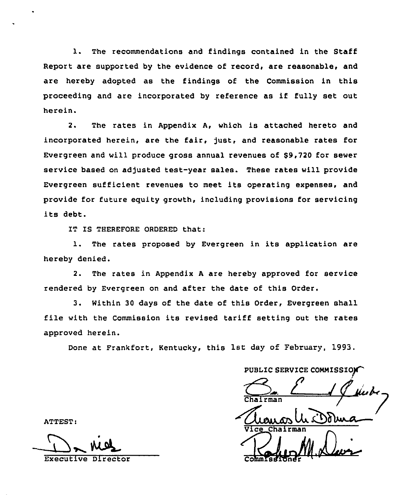1. The recommendations and findings contained in the Staff Report are supported by the evidence of record, are reasonable, and are hereby adopted as the findings of the Commission in this proceeding and are incorporated by reference as if fully set out herein.

2. The rates in Appendix A, which is attached hereto and incorporated herein, are the fair, just, and reasonable rates for Evergreen and will produce gross annual revenues of \$9,720 for sewer service based on adjusted test-year sales. These rates will provide Evergreen sufficient revenues to meet its operating expenses, and provide for future equity growth, including provisions for servicing its debt.

IT IS THEREFORE ORDERED that:

1. The rates proposed by Evergreen in its application are hereby denied.

2. The rates in Appendix <sup>A</sup> are hereby approved for service rendered by Evergreen on and after the date of this Order.

3. Within 30 days of the date of this Order, Evergreen shall file with the Commission its revised tariff setting out the rates approved herein.

Done at Frankfort, Kentucky, this 1st day of February, 1993.

PUBLIC SERVICE COMMISSIO St day of February, 1993.<br>PUBLIC SERVICE COMMISSION

ATTEST:

Executive Director